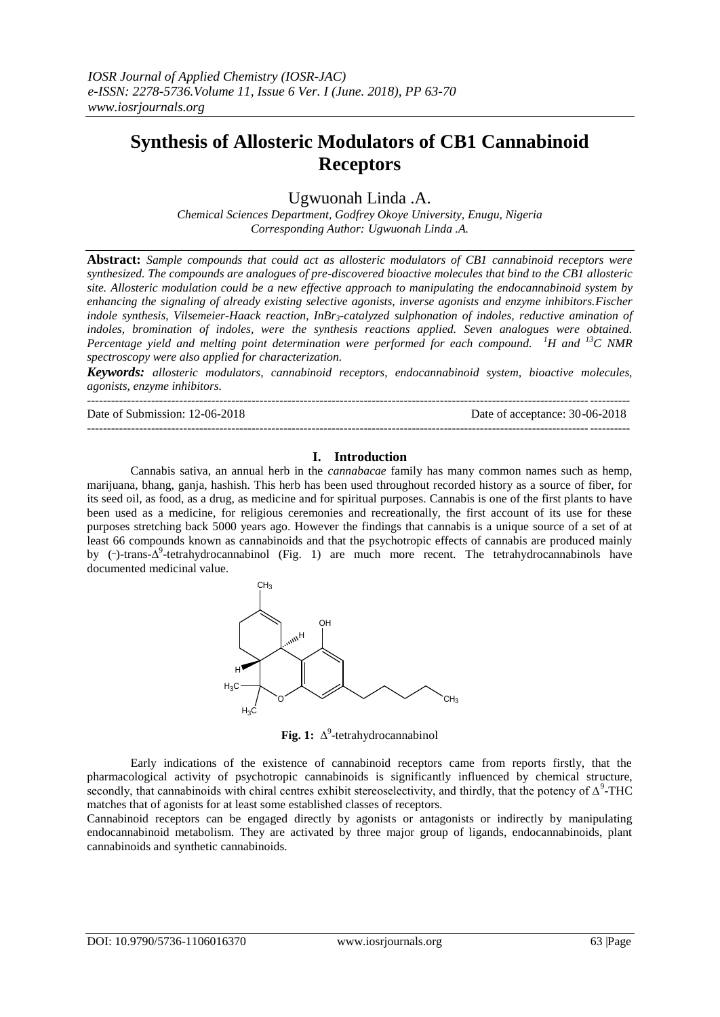# **Synthesis of Allosteric Modulators of CB1 Cannabinoid Receptors**

Ugwuonah Linda .A.

*Chemical Sciences Department, Godfrey Okoye University, Enugu, Nigeria Corresponding Author: Ugwuonah Linda .A.*

**Abstract:** *Sample compounds that could act as allosteric modulators of CB1 cannabinoid receptors were synthesized. The compounds are analogues of pre-discovered bioactive molecules that bind to the CB1 allosteric site. Allosteric modulation could be a new effective approach to manipulating the endocannabinoid system by enhancing the signaling of already existing selective agonists, inverse agonists and enzyme inhibitors.Fischer indole synthesis, Vilsemeier-Haack reaction, InBr3-catalyzed sulphonation of indoles, reductive amination of indoles, bromination of indoles, were the synthesis reactions applied. Seven analogues were obtained. Percentage yield and melting point determination were performed for each compound. <sup>1</sup>H and <sup>13</sup>C NMR spectroscopy were also applied for characterization.* 

*Keywords: allosteric modulators, cannabinoid receptors, endocannabinoid system, bioactive molecules, agonists, enzyme inhibitors.*

---------------------------------------------------------------------------------------------------------------------------------------

Date of Submission: 12-06-2018 Date of acceptance: 30-06-2018

---------------------------------------------------------------------------------------------------------------------------------------

## **I. Introduction**

Cannabis sativa, an annual herb in the *cannabacae* family has many common names such as hemp, marijuana, bhang, ganja, hashish. This herb has been used throughout recorded history as a source of fiber, for its seed oil, as food, as a drug, as medicine and for spiritual purposes. Cannabis is one of the first plants to have been used as a medicine, for religious ceremonies and recreationally, the first account of its use for these purposes stretching back 5000 years ago. However the findings that cannabis is a unique source of a set of at least 66 compounds known as cannabinoids and that the psychotropic effects of cannabis are produced mainly by (-)-trans-Δ<sup>9</sup>-tetrahydrocannabinol (Fig. 1) are much more recent. The tetrahydrocannabinols have documented medicinal value.



**Fig. 1:** ∆ 9 -tetrahydrocannabinol

Early indications of the existence of cannabinoid receptors came from reports firstly, that the pharmacological activity of psychotropic cannabinoids is significantly influenced by chemical structure, secondly, that cannabinoids with chiral centres exhibit stereoselectivity, and thirdly, that the potency of  $\Delta^9$ -THC matches that of agonists for at least some established classes of receptors.

Cannabinoid receptors can be engaged directly by agonists or antagonists or indirectly by manipulating endocannabinoid metabolism. They are activated by three major group of ligands, endocannabinoids, plant cannabinoids and synthetic cannabinoids.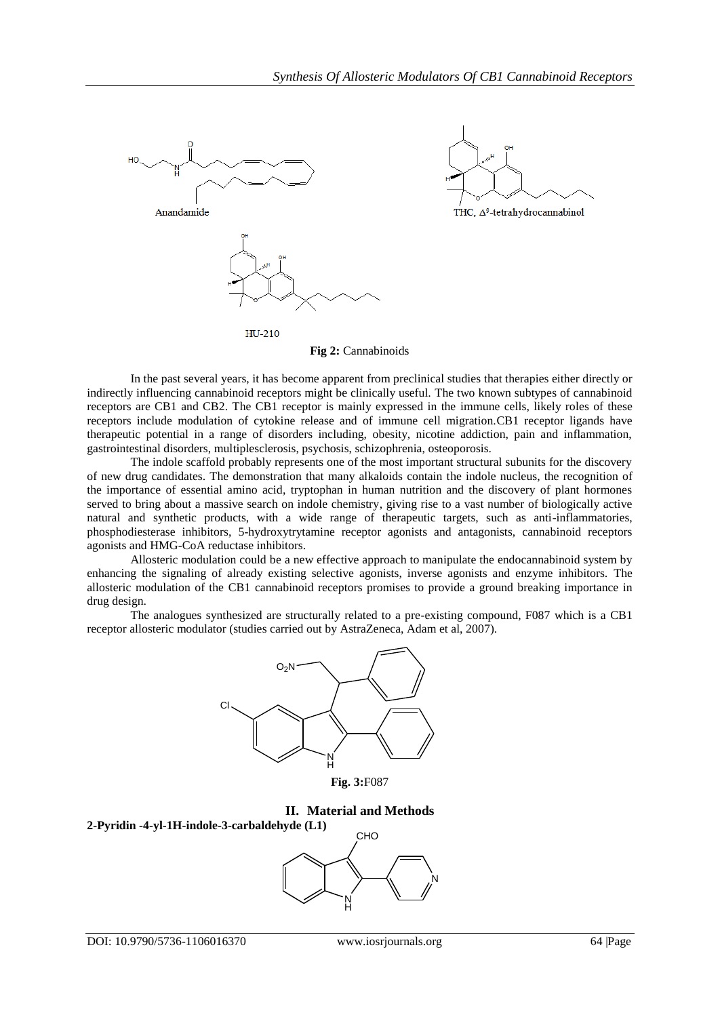

**Fig 2:** Cannabinoids

In the past several years, it has become apparent from preclinical studies that therapies either directly or indirectly influencing cannabinoid receptors might be clinically useful. The two known subtypes of cannabinoid receptors are CB1 and CB2. The CB1 receptor is mainly expressed in the immune cells, likely roles of these receptors include modulation of cytokine release and of immune cell migration.CB1 receptor ligands have therapeutic potential in a range of disorders including, obesity, nicotine addiction, pain and inflammation, gastrointestinal disorders, multiplesclerosis, psychosis, schizophrenia, osteoporosis.

The indole scaffold probably represents one of the most important structural subunits for the discovery of new drug candidates. The demonstration that many alkaloids contain the indole nucleus, the recognition of the importance of essential amino acid, tryptophan in human nutrition and the discovery of plant hormones served to bring about a massive search on indole chemistry, giving rise to a vast number of biologically active natural and synthetic products, with a wide range of therapeutic targets, such as anti-inflammatories, phosphodiesterase inhibitors, 5-hydroxytrytamine receptor agonists and antagonists, cannabinoid receptors agonists and HMG-CoA reductase inhibitors.

Allosteric modulation could be a new effective approach to manipulate the endocannabinoid system by enhancing the signaling of already existing selective agonists, inverse agonists and enzyme inhibitors. The allosteric modulation of the CB1 cannabinoid receptors promises to provide a ground breaking importance in drug design.

The analogues synthesized are structurally related to a pre-existing compound, F087 which is a CB1 receptor allosteric modulator (studies carried out by AstraZeneca, Adam et al, 2007).





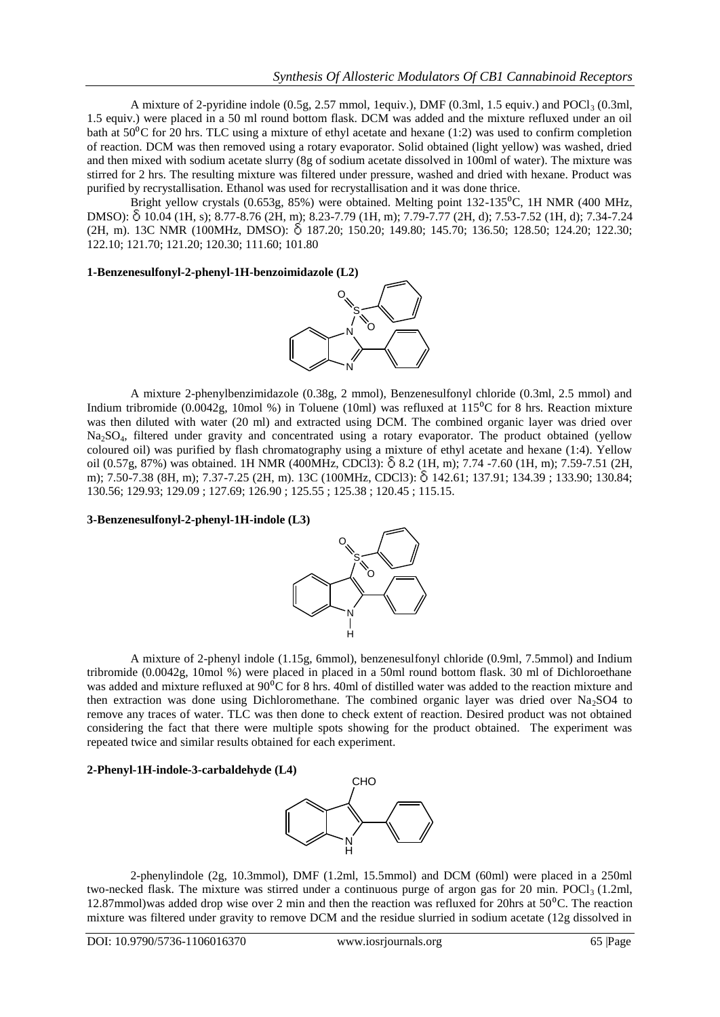A mixture of 2-pyridine indole  $(0.5g, 2.57 \text{ mmol}, 1.5g)$ , DMF  $(0.3m, 1.5g)$  and POCl<sub>3</sub>  $(0.3m, 1.5g)$ 1.5 equiv.) were placed in a 50 ml round bottom flask. DCM was added and the mixture refluxed under an oil bath at  $50\textdegree$ C for 20 hrs. TLC using a mixture of ethyl acetate and hexane (1:2) was used to confirm completion of reaction. DCM was then removed using a rotary evaporator. Solid obtained (light yellow) was washed, dried and then mixed with sodium acetate slurry (8g of sodium acetate dissolved in 100ml of water). The mixture was stirred for 2 hrs. The resulting mixture was filtered under pressure, washed and dried with hexane. Product was purified by recrystallisation. Ethanol was used for recrystallisation and it was done thrice.

Bright yellow crystals  $(0.653g, 85%)$  were obtained. Melting point 132-135<sup>o</sup>C, 1H NMR (400 MHz, DMSO): 10.04 (1H, s); 8.77-8.76 (2H, m); 8.23-7.79 (1H, m); 7.79-7.77 (2H, d); 7.53-7.52 (1H, d); 7.34-7.24 (2H, m). 13C NMR (100MHz, DMSO): δ 187.20; 150.20; 149.80; 145.70; 136.50; 128.50; 124.20; 122.30; 122.10; 121.70; 121.20; 120.30; 111.60; 101.80

## **1-Benzenesulfonyl-2-phenyl-1H-benzoimidazole (L2)**



A mixture 2-phenylbenzimidazole (0.38g, 2 mmol), Benzenesulfonyl chloride (0.3ml, 2.5 mmol) and Indium tribromide (0.0042g, 10mol %) in Toluene (10ml) was refluxed at  $115^{\circ}$ C for 8 hrs. Reaction mixture was then diluted with water (20 ml) and extracted using DCM. The combined organic layer was dried over Na2SO4, filtered under gravity and concentrated using a rotary evaporator. The product obtained (yellow coloured oil) was purified by flash chromatography using a mixture of ethyl acetate and hexane (1:4). Yellow oil (0.57g, 87%) was obtained. 1H NMR (400MHz, CDCl3): 8.2 (1H, m); 7.74 -7.60 (1H, m); 7.59-7.51 (2H, m); 7.50-7.38 (8H, m); 7.37-7.25 (2H, m). 13C (100MHz, CDCl3): 142.61; 137.91; 134.39 ; 133.90; 130.84; 130.56; 129.93; 129.09 ; 127.69; 126.90 ; 125.55 ; 125.38 ; 120.45 ; 115.15.

## **3-Benzenesulfonyl-2-phenyl-1H-indole (L3)**



A mixture of 2-phenyl indole (1.15g, 6mmol), benzenesulfonyl chloride (0.9ml, 7.5mmol) and Indium tribromide (0.0042g, 10mol %) were placed in placed in a 50ml round bottom flask. 30 ml of Dichloroethane was added and mixture refluxed at 90<sup>o</sup>C for 8 hrs. 40ml of distilled water was added to the reaction mixture and then extraction was done using Dichloromethane. The combined organic layer was dried over Na<sub>2</sub>SO4 to remove any traces of water. TLC was then done to check extent of reaction. Desired product was not obtained considering the fact that there were multiple spots showing for the product obtained. The experiment was repeated twice and similar results obtained for each experiment.

## **2-Phenyl-1H-indole-3-carbaldehyde (L4)**



2-phenylindole (2g, 10.3mmol), DMF (1.2ml, 15.5mmol) and DCM (60ml) were placed in a 250ml two-necked flask. The mixture was stirred under a continuous purge of argon gas for 20 min. POCl<sub>3</sub> (1.2ml, 12.87mmol)was added drop wise over 2 min and then the reaction was refluxed for 20hrs at  $50^{\circ}$ C. The reaction mixture was filtered under gravity to remove DCM and the residue slurried in sodium acetate (12g dissolved in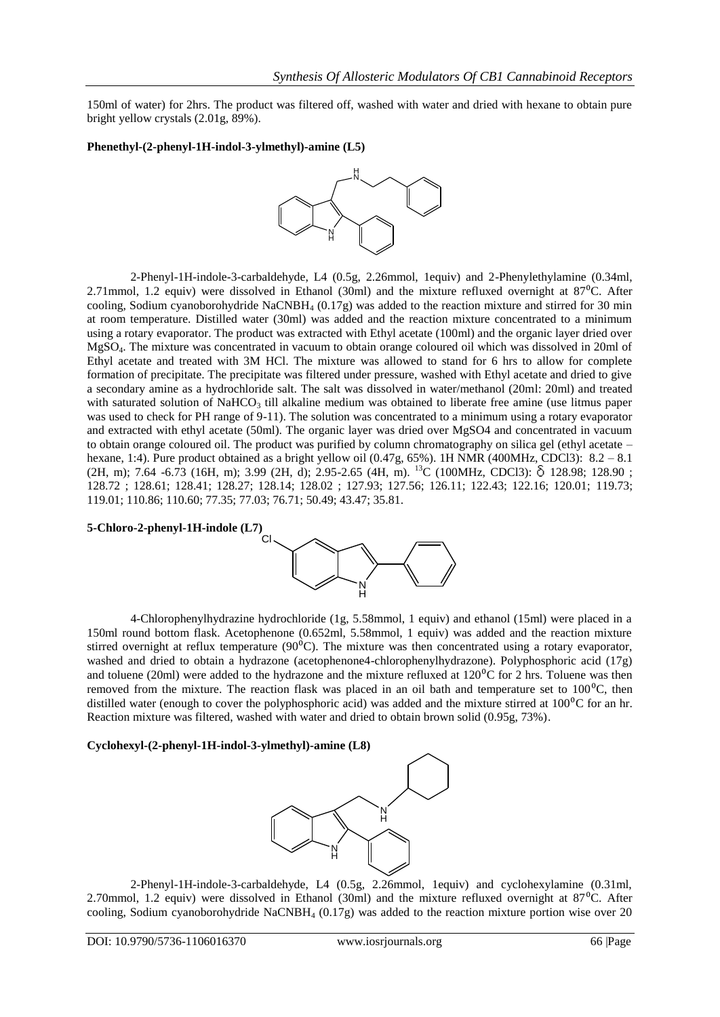150ml of water) for 2hrs. The product was filtered off, washed with water and dried with hexane to obtain pure bright yellow crystals (2.01g, 89%).

#### **Phenethyl-(2-phenyl-1H-indol-3-ylmethyl)-amine (L5)**



2-Phenyl-1H-indole-3-carbaldehyde, L4 (0.5g, 2.26mmol, 1equiv) and 2-Phenylethylamine (0.34ml, 2.71mmol, 1.2 equiv) were dissolved in Ethanol (30ml) and the mixture refluxed overnight at  $87^{\circ}$ C. After cooling, Sodium cyanoborohydride NaCNBH<sub>4</sub> (0.17g) was added to the reaction mixture and stirred for 30 min at room temperature. Distilled water (30ml) was added and the reaction mixture concentrated to a minimum using a rotary evaporator. The product was extracted with Ethyl acetate (100ml) and the organic layer dried over MgSO4. The mixture was concentrated in vacuum to obtain orange coloured oil which was dissolved in 20ml of Ethyl acetate and treated with 3M HCl. The mixture was allowed to stand for 6 hrs to allow for complete formation of precipitate. The precipitate was filtered under pressure, washed with Ethyl acetate and dried to give a secondary amine as a hydrochloride salt. The salt was dissolved in water/methanol (20ml: 20ml) and treated with saturated solution of NaHCO<sub>3</sub> till alkaline medium was obtained to liberate free amine (use litmus paper was used to check for PH range of 9-11). The solution was concentrated to a minimum using a rotary evaporator and extracted with ethyl acetate (50ml). The organic layer was dried over MgSO4 and concentrated in vacuum to obtain orange coloured oil. The product was purified by column chromatography on silica gel (ethyl acetate – hexane, 1:4). Pure product obtained as a bright yellow oil (0.47g, 65%). 1H NMR (400MHz, CDCl3): 8.2 - 8.1 (2H, m); 7.64 -6.73 (16H, m); 3.99 (2H, d); 2.95-2.65 (4H, m). <sup>13</sup>C (100MHz, CDCl3): δ 128.98; 128.90 ; 128.72 ; 128.61; 128.41; 128.27; 128.14; 128.02 ; 127.93; 127.56; 126.11; 122.43; 122.16; 120.01; 119.73; 119.01; 110.86; 110.60; 77.35; 77.03; 76.71; 50.49; 43.47; 35.81.



4-Chlorophenylhydrazine hydrochloride (1g, 5.58mmol, 1 equiv) and ethanol (15ml) were placed in a 150ml round bottom flask. Acetophenone (0.652ml, 5.58mmol, 1 equiv) was added and the reaction mixture stirred overnight at reflux temperature  $(90^{\circ}C)$ . The mixture was then concentrated using a rotary evaporator, washed and dried to obtain a hydrazone (acetophenone4-chlorophenylhydrazone). Polyphosphoric acid (17g) and toluene (20ml) were added to the hydrazone and the mixture refluxed at  $120\text{°C}$  for 2 hrs. Toluene was then removed from the mixture. The reaction flask was placed in an oil bath and temperature set to  $100^{\circ}$ C, then distilled water (enough to cover the polyphosphoric acid) was added and the mixture stirred at  $100^{\circ}$ C for an hr. Reaction mixture was filtered, washed with water and dried to obtain brown solid (0.95g, 73%).

## **Cyclohexyl-(2-phenyl-1H-indol-3-ylmethyl)-amine (L8)**



2-Phenyl-1H-indole-3-carbaldehyde, L4 (0.5g, 2.26mmol, 1equiv) and cyclohexylamine (0.31ml, 2.70mmol, 1.2 equiv) were dissolved in Ethanol (30ml) and the mixture refluxed overnight at  $87^{\circ}$ C. After cooling, Sodium cyanoborohydride NaCNBH<sub>4</sub> (0.17g) was added to the reaction mixture portion wise over 20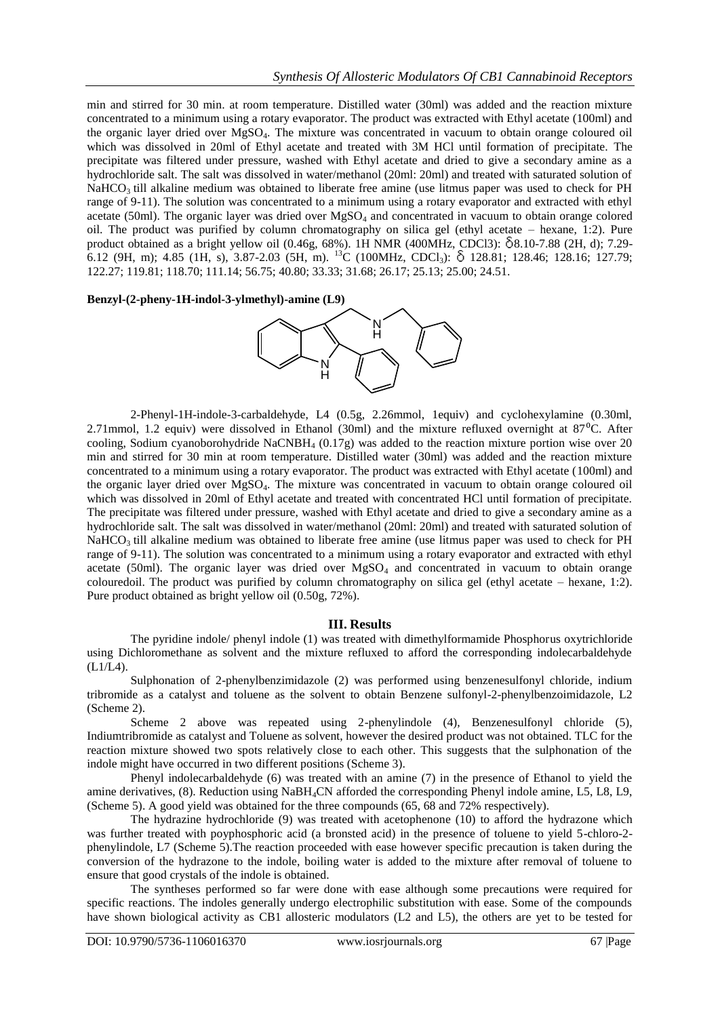min and stirred for 30 min. at room temperature. Distilled water (30ml) was added and the reaction mixture concentrated to a minimum using a rotary evaporator. The product was extracted with Ethyl acetate (100ml) and the organic layer dried over MgSO4. The mixture was concentrated in vacuum to obtain orange coloured oil which was dissolved in 20ml of Ethyl acetate and treated with 3M HCl until formation of precipitate. The precipitate was filtered under pressure, washed with Ethyl acetate and dried to give a secondary amine as a hydrochloride salt. The salt was dissolved in water/methanol (20ml: 20ml) and treated with saturated solution of  $NaHCO<sub>3</sub>$  till alkaline medium was obtained to liberate free amine (use litmus paper was used to check for PH range of 9-11). The solution was concentrated to a minimum using a rotary evaporator and extracted with ethyl acetate (50ml). The organic layer was dried over MgSO<sub>4</sub> and concentrated in vacuum to obtain orange colored oil. The product was purified by column chromatography on silica gel (ethyl acetate – hexane, 1:2). Pure product obtained as a bright yellow oil (0.46g, 68%). 1H NMR (400MHz, CDCl3): 8.10-7.88 (2H, d); 7.29- 6.12 (9H, m); 4.85 (1H, s), 3.87-2.03 (5H, m). <sup>13</sup>C (100MHz, CDCl<sub>3</sub>):  $\delta$  128.81; 128.46; 128.16; 127.79; 122.27; 119.81; 118.70; 111.14; 56.75; 40.80; 33.33; 31.68; 26.17; 25.13; 25.00; 24.51.

**Benzyl-(2-pheny-1H-indol-3-ylmethyl)-amine (L9)**



2-Phenyl-1H-indole-3-carbaldehyde, L4 (0.5g, 2.26mmol, 1equiv) and cyclohexylamine (0.30ml, 2.71mmol, 1.2 equiv) were dissolved in Ethanol (30ml) and the mixture refluxed overnight at 87<sup>o</sup>C. After cooling, Sodium cyanoborohydride NaCNBH<sub>4</sub> (0.17g) was added to the reaction mixture portion wise over 20 min and stirred for 30 min at room temperature. Distilled water (30ml) was added and the reaction mixture concentrated to a minimum using a rotary evaporator. The product was extracted with Ethyl acetate (100ml) and the organic layer dried over MgSO4. The mixture was concentrated in vacuum to obtain orange coloured oil which was dissolved in 20ml of Ethyl acetate and treated with concentrated HCl until formation of precipitate. The precipitate was filtered under pressure, washed with Ethyl acetate and dried to give a secondary amine as a hydrochloride salt. The salt was dissolved in water/methanol (20ml: 20ml) and treated with saturated solution of NaHCO<sub>3</sub> till alkaline medium was obtained to liberate free amine (use litmus paper was used to check for PH range of 9-11). The solution was concentrated to a minimum using a rotary evaporator and extracted with ethyl acetate (50ml). The organic layer was dried over  $MgSO<sub>4</sub>$  and concentrated in vacuum to obtain orange colouredoil. The product was purified by column chromatography on silica gel (ethyl acetate – hexane, 1:2). Pure product obtained as bright yellow oil (0.50g, 72%).

#### **III. Results**

The pyridine indole/ phenyl indole (1) was treated with dimethylformamide Phosphorus oxytrichloride using Dichloromethane as solvent and the mixture refluxed to afford the corresponding indolecarbaldehyde (L1/L4).

Sulphonation of 2-phenylbenzimidazole (2) was performed using benzenesulfonyl chloride, indium tribromide as a catalyst and toluene as the solvent to obtain Benzene sulfonyl-2-phenylbenzoimidazole, L2 (Scheme 2).

Scheme 2 above was repeated using 2-phenylindole (4), Benzenesulfonyl chloride (5), Indiumtribromide as catalyst and Toluene as solvent, however the desired product was not obtained. TLC for the reaction mixture showed two spots relatively close to each other. This suggests that the sulphonation of the indole might have occurred in two different positions (Scheme 3).

Phenyl indolecarbaldehyde (6) was treated with an amine (7) in the presence of Ethanol to yield the amine derivatives, (8). Reduction using NaBH4CN afforded the corresponding Phenyl indole amine, L5, L8, L9, (Scheme 5). A good yield was obtained for the three compounds (65, 68 and 72% respectively).

The hydrazine hydrochloride (9) was treated with acetophenone (10) to afford the hydrazone which was further treated with poyphosphoric acid (a bronsted acid) in the presence of toluene to yield 5-chloro-2 phenylindole, L7 (Scheme 5).The reaction proceeded with ease however specific precaution is taken during the conversion of the hydrazone to the indole, boiling water is added to the mixture after removal of toluene to ensure that good crystals of the indole is obtained.

The syntheses performed so far were done with ease although some precautions were required for specific reactions. The indoles generally undergo electrophilic substitution with ease. Some of the compounds have shown biological activity as CB1 allosteric modulators (L2 and L5), the others are yet to be tested for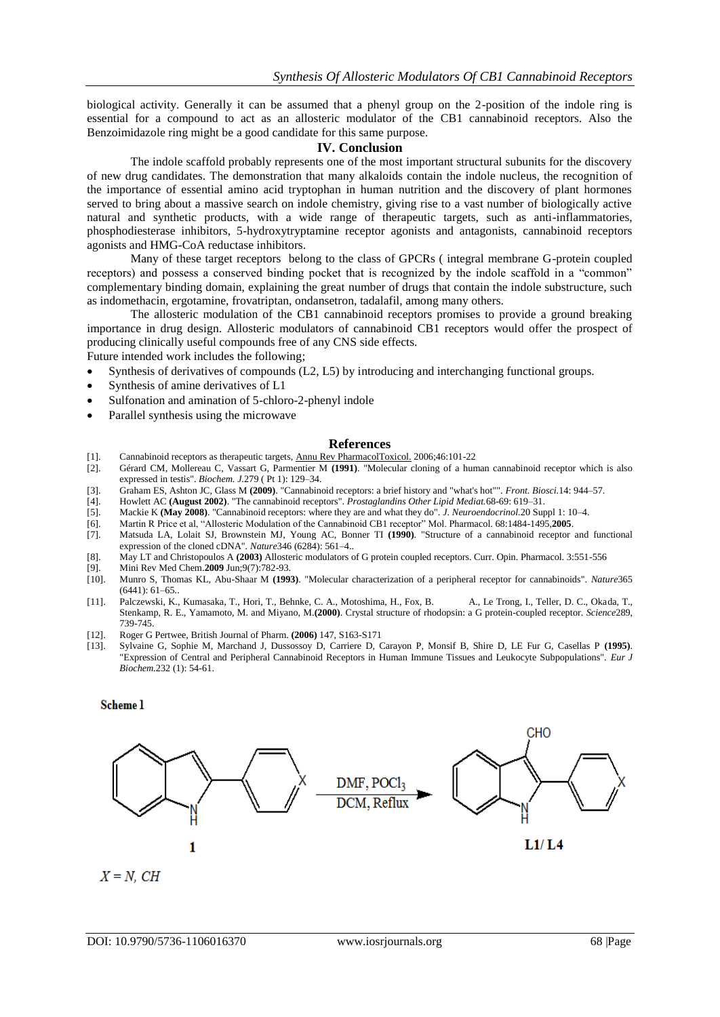biological activity. Generally it can be assumed that a phenyl group on the 2-position of the indole ring is essential for a compound to act as an allosteric modulator of the CB1 cannabinoid receptors. Also the Benzoimidazole ring might be a good candidate for this same purpose.

#### **IV. Conclusion**

The indole scaffold probably represents one of the most important structural subunits for the discovery of new drug candidates. The demonstration that many alkaloids contain the indole nucleus, the recognition of the importance of essential amino acid tryptophan in human nutrition and the discovery of plant hormones served to bring about a massive search on indole chemistry, giving rise to a vast number of biologically active natural and synthetic products, with a wide range of therapeutic targets, such as anti-inflammatories, phosphodiesterase inhibitors, 5-hydroxytryptamine receptor agonists and antagonists, cannabinoid receptors agonists and HMG-CoA reductase inhibitors.

Many of these target receptors belong to the class of GPCRs ( integral membrane G-protein coupled receptors) and possess a conserved binding pocket that is recognized by the indole scaffold in a "common" complementary binding domain, explaining the great number of drugs that contain the indole substructure, such as indomethacin, ergotamine, frovatriptan, ondansetron, tadalafil, among many others.

The allosteric modulation of the CB1 cannabinoid receptors promises to provide a ground breaking importance in drug design. Allosteric modulators of cannabinoid CB1 receptors would offer the prospect of producing clinically useful compounds free of any CNS side effects.

Future intended work includes the following;

- Synthesis of derivatives of compounds (L2, L5) by introducing and interchanging functional groups.
- Synthesis of amine derivatives of L1
- Sulfonation and amination of 5-chloro-2-phenyl indole
- Parallel synthesis using the microwave

#### **References**

- [1]. Cannabinoid receptors as therapeutic targets[, Annu Rev PharmacolToxicol.](javascript:AL_get(this,%20) 2006;46:101-22
- [2]. Gérard CM, Mollereau C, Vassart G, Parmentier M **(1991)**. "Molecular cloning of a human cannabinoid receptor which is also expressed in testis". *Biochem. J.*279 ( Pt 1): 129–34.
- [3]. Graham ES, Ashton JC, Glass M **(2009)**. "Cannabinoid receptors: a brief history and "what's hot"". *Front. Biosci.*14: 944–57.
- [4]. Howlett AC **(August 2002)**. "The cannabinoid receptors". *Prostaglandins Other Lipid Mediat.*68-69: 619–31.
- [5]. Mackie K **(May 2008)**. "Cannabinoid receptors: where they are and what they do". *J. Neuroendocrinol.*20 Suppl 1: 10–4.
- [6]. Martin R Price et al, "Allosteric Modulation of the Cannabinoid CB1 receptor" Mol. Pharmacol. 68:1484-1495,**2005**.
- [7]. Matsuda LA, Lolait SJ, Brownstein MJ, Young AC, Bonner TI **(1990)**. "Structure of a cannabinoid receptor and functional expression of the cloned cDNA". *Nature*346 (6284): 561–4..
- [8]. May LT and Christopoulos A **(2003)** Allosteric modulators of G protein coupled receptors. Curr. Opin. Pharmacol. 3:551-556
- 
- [9]. [Mini Rev Med Chem.](javascript:AL_get(this,%20)**2009** Jun;9(7):782-93. [10]. Munro S, Thomas KL, Abu-Shaar M **(1993)**. "Molecular characterization of a peripheral receptor for cannabinoids". *Nature*365 (6441): 61–65..
- [11]. Palczewski, K., Kumasaka, T., Hori, T., Behnke, C. A., Motoshima, H., Fox, B. A., Le Trong, I., Teller, D. C., Okada, T., Stenkamp, R. E., Yamamoto, M. and Miyano, M.**(2000)**. Crystal structure of rhodopsin: a G protein-coupled receptor. *Science*289, 739-745.
- [12]. Roger G Pertwee, British Journal of Pharm. **(2006)** 147, S163-S171
- [13]. Sylvaine G, Sophie M, Marchand J, Dussossoy D, Carriere D, Carayon P, Monsif B, Shire D, LE Fur G, Casellas P **(1995)**. "Expression of Central and Peripheral Cannabinoid Receptors in Human Immune Tissues and Leukocyte Subpopulations". *Eur J Biochem.*232 (1): 54-61.

## **Scheme 1**

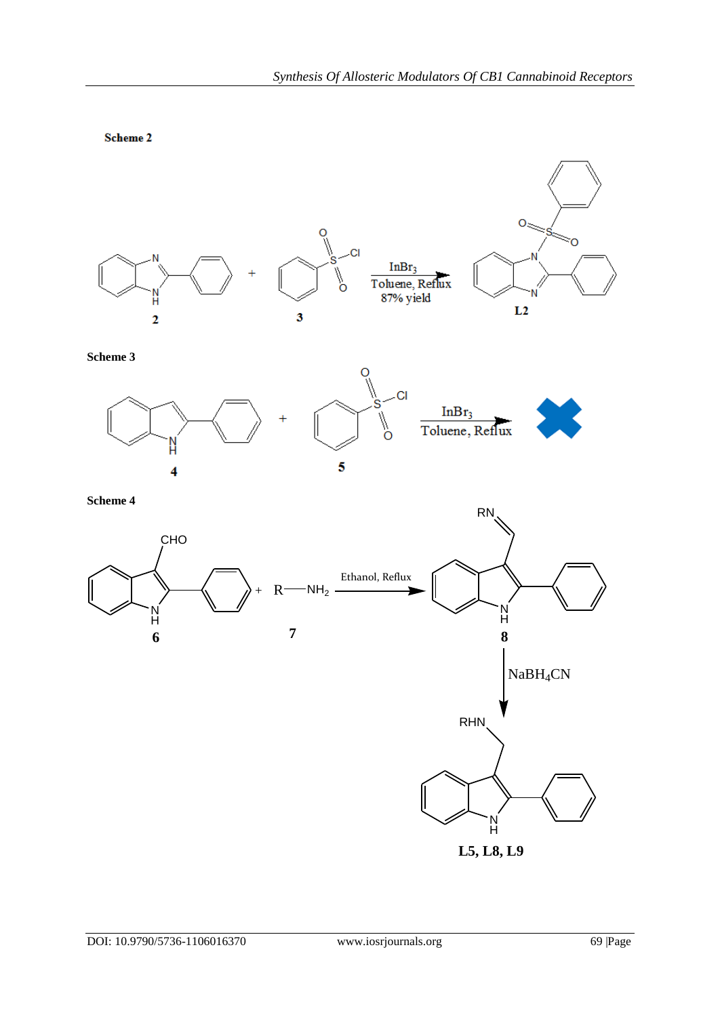

**Scheme 3**



**Scheme 4**